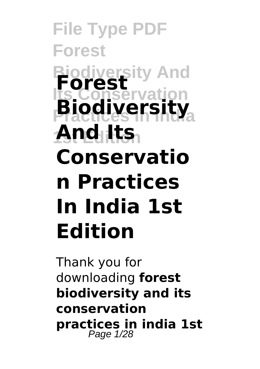**File Type PDF Forest Biodiversity And Forest Its Conservation Biodiversity** And its **Conservatio n Practices In India 1st Edition**

Thank you for downloading **forest biodiversity and its conservation practices in india 1st** Page 1/28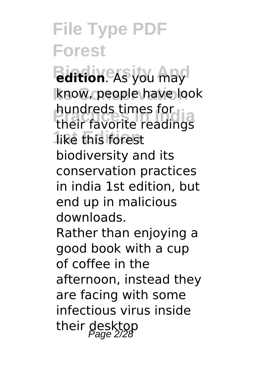**Bidition**. As you may know, people have look **Practices In India** their favorite readings like this forest hundreds times for biodiversity and its conservation practices in india 1st edition, but end up in malicious downloads. Rather than enjoying a good book with a cup of coffee in the afternoon, instead they are facing with some infectious virus inside their desktop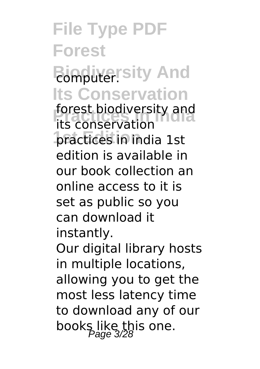#### **File Type PDF Forest Biomputer** sity And **Its Conservation** forest biodiversity and<br>its conservation practices in *india* 1st its conservation edition is available in our book collection an online access to it is set as public so you can download it instantly. Our digital library hosts in multiple locations, allowing you to get the most less latency time to download any of our books like this one.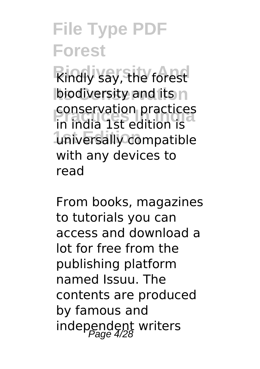**Rindly say, the forest biodiversity and its n Practices In India** in india 1st edition is **1st Edition** universally compatible conservation practices with any devices to read

From books, magazines to tutorials you can access and download a lot for free from the publishing platform named Issuu. The contents are produced by famous and independent writers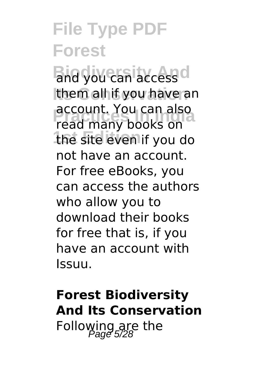**Bild you can access d** them all if you have an **Practices In India** read many books on the site even if you do account. You can also not have an account. For free eBooks, you can access the authors who allow you to download their books for free that is, if you have an account with Issuu.

#### **Forest Biodiversity And Its Conservation** Following are the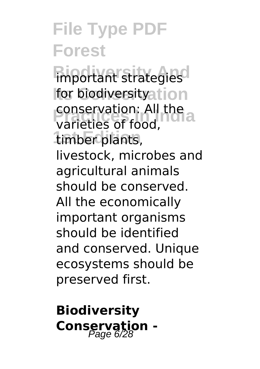**Biograph** Strategies for biodiversityation **Practices In India** varieties of food, **1st Edition** timber plants, conservation: All the livestock, microbes and agricultural animals should be conserved. All the economically important organisms should be identified and conserved. Unique ecosystems should be preserved first.

**Biodiversity Conservation -**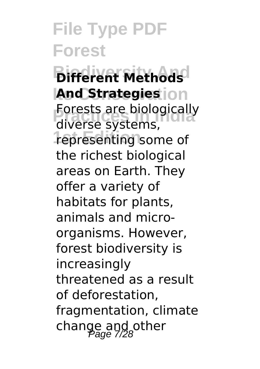**Bifferent Methods And Strategies** ion **Procests are biologically**<br>
diverse systems **1st Edition** representing some of diverse systems, the richest biological areas on Earth. They offer a variety of habitats for plants, animals and microorganisms. However, forest biodiversity is increasingly threatened as a result of deforestation, fragmentation, climate change and other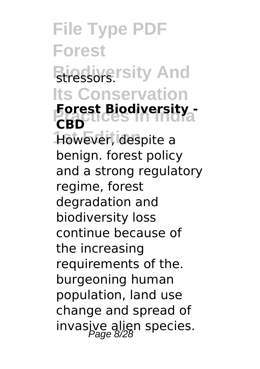**File Type PDF Forest Biressors**.rsity And **Its Conservation Forest Biodiversity -**<br>CRD LICES IN INGLA However, despite a **CBD** benign. forest policy and a strong regulatory regime, forest degradation and biodiversity loss continue because of the increasing requirements of the. burgeoning human population, land use change and spread of invasive alien species.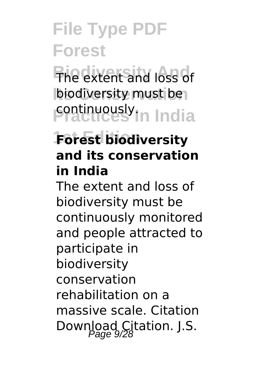**Biodiversity And** The extent and loss of biodiversity must be **Practices** In India

#### **Forest biodiversity and its conservation in India**

The extent and loss of biodiversity must be continuously monitored and people attracted to participate in biodiversity conservation rehabilitation on a massive scale. Citation Download Citation. J.S.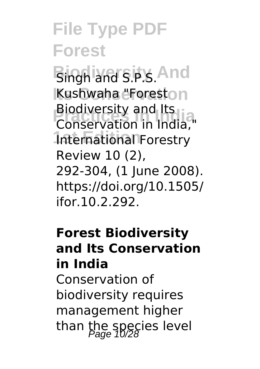**Bingh and S.P.S. And** Kushwaha "Foreston **Practices In India** Conservation in India," International Forestry Biodiversity and Its Review 10 (2), 292-304, (1 June 2008). https://doi.org/10.1505/ ifor.10.2.292.

#### **Forest Biodiversity and Its Conservation in India** Conservation of

biodiversity requires management higher than the species level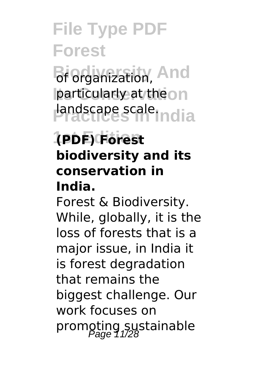**Bi Organization, And particularly at theon Practices** India

#### **1st Edition (PDF) Forest biodiversity and its conservation in India.**

Forest & Biodiversity. While, globally, it is the loss of forests that is a major issue, in India it is forest degradation that remains the biggest challenge. Our work focuses on promoting sustainable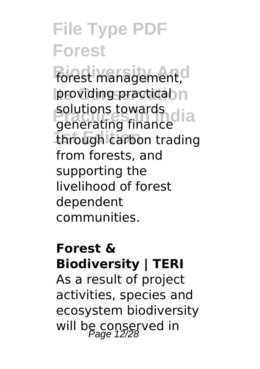**Forest management,** providing practical n solutions towards<br>Generating finance through carbon trading generating finance from forests, and supporting the livelihood of forest dependent communities.

#### **Forest & Biodiversity | TERI**

As a result of project activities, species and ecosystem biodiversity will be conserved in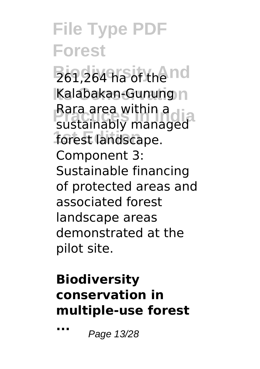$261,264$  ha of the nd Kalabakan-Gunung<sub>n</sub> Rard area within a<br>sustainably managed forest landscape. Rara area within a Component 3: Sustainable financing of protected areas and associated forest landscape areas demonstrated at the pilot site.

#### **Biodiversity conservation in multiple-use forest**

**...** Page 13/28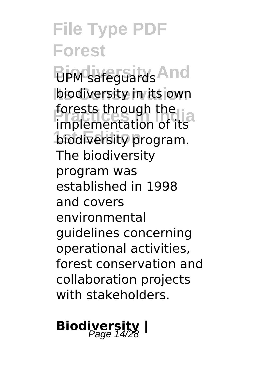**Biom** safeguards And **biodiversity in its own Profests unrough the**<br>implementation of its biodiversity program. forests through the The biodiversity program was established in 1998 and covers environmental guidelines concerning operational activities, forest conservation and collaboration projects with stakeholders.

# **Biodiversity** |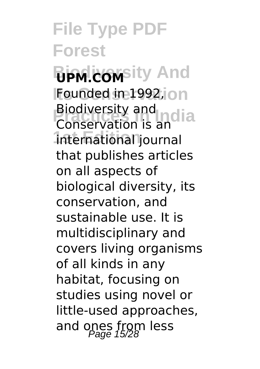**File Type PDF Forest Biomasity And Founded in 1992, on Biodiversity and notice**<br>Conservation is and a **1st Edition** international journal Conservation is an that publishes articles on all aspects of biological diversity, its conservation, and sustainable use. It is multidisciplinary and covers living organisms of all kinds in any habitat, focusing on studies using novel or little-used approaches, and ones from less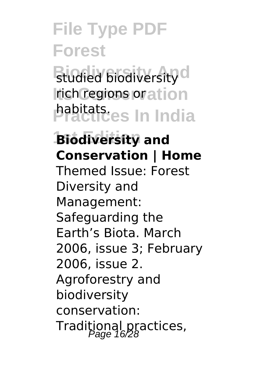**Biodiversity** d **rich regions oration Practices In India** habitats.

**Biodiversity and Conservation | Home** Themed Issue: Forest Diversity and Management: Safeguarding the Earth's Biota. March 2006, issue 3; February 2006, issue 2. Agroforestry and biodiversity conservation: Traditional practices,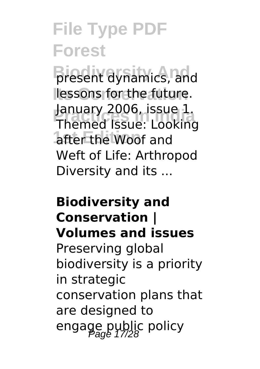**Bresent dynamics, and** lessons for the future. **Practices In India** Themed Issue: Looking after the Woof and January 2006, issue 1. Weft of Life: Arthropod Diversity and its ...

#### **Biodiversity and Conservation | Volumes and issues**

Preserving global biodiversity is a priority in strategic conservation plans that are designed to engage public policy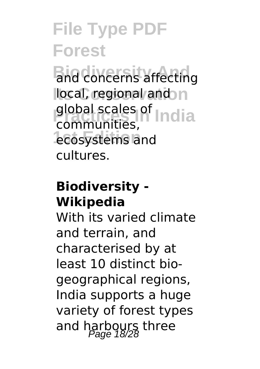**Biodiversity And** and concerns affecting local, regional and n global scales of **India** ecosystems and communities, cultures.

#### **Biodiversity - Wikipedia**

With its varied climate and terrain, and characterised by at least 10 distinct biogeographical regions, India supports a huge variety of forest types and harbours three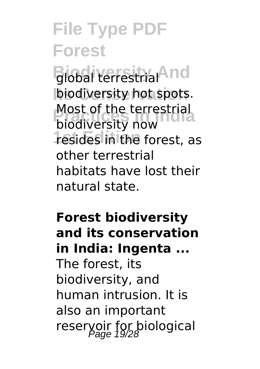Biobal terrestrial<sup>And</sup> biodiversity hot spots. **Most of the terrestrial<br>biodiversity now 1st Edition** resides in the forest, as biodiversity now other terrestrial habitats have lost their natural state.

#### **Forest biodiversity and its conservation in India: Ingenta ...** The forest, its

biodiversity, and human intrusion. It is also an important reservoir for biological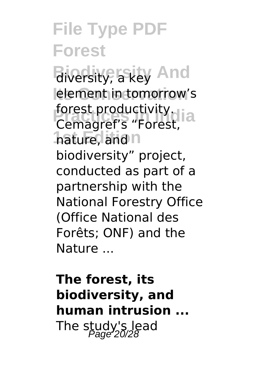**Biodiversity And** diversity, a key lelement in tomorrow's **Forest productivity.**<br>Cemagref's "Eorest" hature, and n Cemagref's "Forest, biodiversity" project, conducted as part of a partnership with the National Forestry Office (Office National des Forêts; ONF) and the Nature ...

**The forest, its biodiversity, and human intrusion ...** The study's lead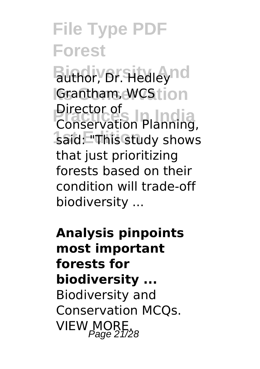Buthor, Dr. Hedleynd **IGrantham, WCStion Prector of**<br>Conservation Planning said: "This study shows Conservation Planning, that just prioritizing forests based on their condition will trade-off biodiversity ...

**Analysis pinpoints most important forests for biodiversity ...** Biodiversity and Conservation MCQs. VIEW MORE.<br>Page 21/28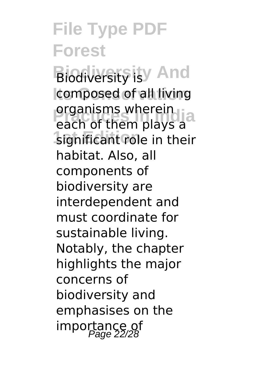**Biodiversity is y And** composed of all living **Properties Indians India**<br>Pach of them plays a significant role in their each of them plays a habitat. Also, all components of biodiversity are interdependent and must coordinate for sustainable living. Notably, the chapter highlights the major concerns of biodiversity and emphasises on the importance of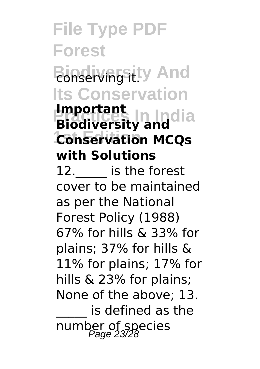### **File Type PDF Forest Bioserving itly And Its Conservation**

#### **Proportant**<br>**Biodiversity and 1st Edition Conservation MCQs Important with Solutions**

12. **is the forest** cover to be maintained as per the National Forest Policy (1988) 67% for hills & 33% for plains; 37% for hills & 11% for plains; 17% for hills & 23% for plains; None of the above; 13. is defined as the number of species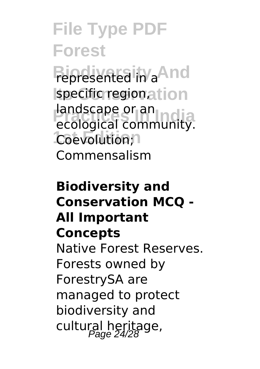**Bioresented** in a<sup>And</sup> specific region, at ion **Produced Community** Coevolution;<sup>1</sup> ecological community. Commensalism

#### **Biodiversity and Conservation MCQ - All Important Concepts** Native Forest Reserves. Forests owned by ForestrySA are managed to protect biodiversity and cultural heritage,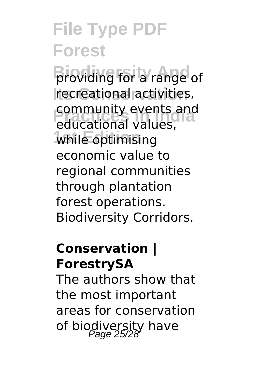**Broviding for a range of Its Conservation** recreational activities, *Community events and*<br>educational values, while optimising community events and economic value to regional communities through plantation forest operations. Biodiversity Corridors.

#### **Conservation | ForestrySA**

The authors show that the most important areas for conservation of biodiversity have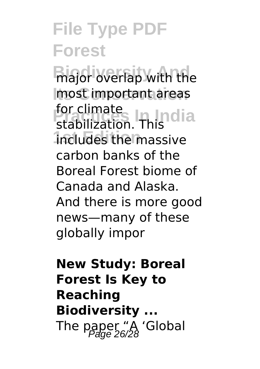**Biodiversity** With the **Its Conservation** most important areas **For climate**<br>stabilization Thindia **1st Edition** includes the massive stabilization. This carbon banks of the Boreal Forest biome of Canada and Alaska. And there is more good news—many of these globally impor

**New Study: Boreal Forest Is Key to Reaching Biodiversity ...** The paper "A 'Global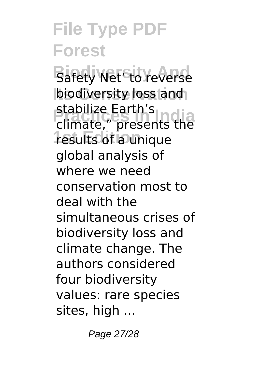**Bafety Net<sup>6</sup>to reverse** biodiversity loss and **Practice Editions**<br> **Properties 1st Edition** results of a unique stabilize Earth's global analysis of where we need conservation most to deal with the simultaneous crises of biodiversity loss and climate change. The authors considered four biodiversity values: rare species sites, high ...

Page 27/28